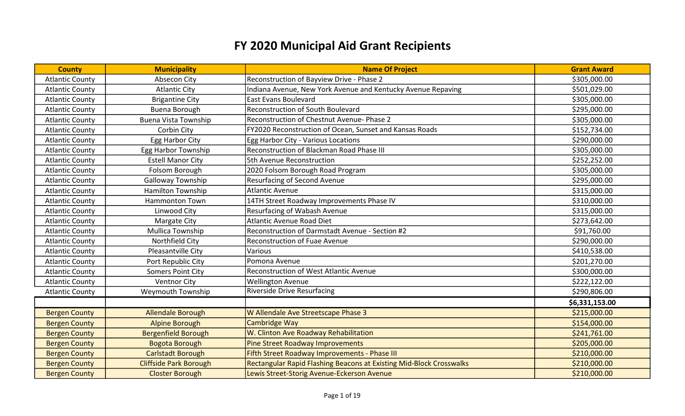## FY 2020 Municipal Aid Grant Recipients

| <b>County</b>          | <b>Municipality</b>           | <b>Name Of Project</b>                                              | <b>Grant Award</b> |
|------------------------|-------------------------------|---------------------------------------------------------------------|--------------------|
| <b>Atlantic County</b> | Absecon City                  | Reconstruction of Bayview Drive - Phase 2                           | \$305,000.00       |
| <b>Atlantic County</b> | <b>Atlantic City</b>          | Indiana Avenue, New York Avenue and Kentucky Avenue Repaving        | \$501,029.00       |
| <b>Atlantic County</b> | <b>Brigantine City</b>        | <b>East Evans Boulevard</b>                                         | \$305,000.00       |
| <b>Atlantic County</b> | Buena Borough                 | <b>Reconstruction of South Boulevard</b>                            | \$295,000.00       |
| <b>Atlantic County</b> | Buena Vista Township          | Reconstruction of Chestnut Avenue- Phase 2                          | \$305,000.00       |
| <b>Atlantic County</b> | Corbin City                   | FY2020 Reconstruction of Ocean, Sunset and Kansas Roads             | \$152,734.00       |
| <b>Atlantic County</b> | Egg Harbor City               | Egg Harbor City - Various Locations                                 | \$290,000.00       |
| <b>Atlantic County</b> | Egg Harbor Township           | Reconstruction of Blackman Road Phase III                           | \$305,000.00       |
| <b>Atlantic County</b> | <b>Estell Manor City</b>      | <b>5th Avenue Reconstruction</b>                                    | \$252,252.00       |
| <b>Atlantic County</b> | Folsom Borough                | 2020 Folsom Borough Road Program                                    | \$305,000.00       |
| <b>Atlantic County</b> | Galloway Township             | <b>Resurfacing of Second Avenue</b>                                 | \$295,000.00       |
| <b>Atlantic County</b> | <b>Hamilton Township</b>      | <b>Atlantic Avenue</b>                                              | \$315,000.00       |
| <b>Atlantic County</b> | <b>Hammonton Town</b>         | 14TH Street Roadway Improvements Phase IV                           | \$310,000.00       |
| <b>Atlantic County</b> | Linwood City                  | Resurfacing of Wabash Avenue                                        | \$315,000.00       |
| <b>Atlantic County</b> | <b>Margate City</b>           | <b>Atlantic Avenue Road Diet</b>                                    | \$273,642.00       |
| <b>Atlantic County</b> | <b>Mullica Township</b>       | Reconstruction of Darmstadt Avenue - Section #2                     | \$91,760.00        |
| <b>Atlantic County</b> | Northfield City               | <b>Reconstruction of Fuae Avenue</b>                                | \$290,000.00       |
| <b>Atlantic County</b> | Pleasantville City            | Various                                                             | \$410,538.00       |
| <b>Atlantic County</b> | Port Republic City            | Pomona Avenue                                                       | \$201,270.00       |
| <b>Atlantic County</b> | <b>Somers Point City</b>      | <b>Reconstruction of West Atlantic Avenue</b>                       | \$300,000.00       |
| <b>Atlantic County</b> | <b>Ventnor City</b>           | <b>Wellington Avenue</b>                                            | \$222,122.00       |
| <b>Atlantic County</b> | <b>Weymouth Township</b>      | <b>Riverside Drive Resurfacing</b>                                  | \$290,806.00       |
|                        |                               |                                                                     | \$6,331,153.00     |
| <b>Bergen County</b>   | <b>Allendale Borough</b>      | W Allendale Ave Streetscape Phase 3                                 | \$215,000.00       |
| <b>Bergen County</b>   | <b>Alpine Borough</b>         | <b>Cambridge Way</b>                                                | \$154,000.00       |
| <b>Bergen County</b>   | <b>Bergenfield Borough</b>    | W. Clinton Ave Roadway Rehabilitation                               | \$241,761.00       |
| <b>Bergen County</b>   | Bogota Borough                | Pine Street Roadway Improvements                                    | \$205,000.00       |
| <b>Bergen County</b>   | <b>Carlstadt Borough</b>      | Fifth Street Roadway Improvements - Phase III                       | \$210,000.00       |
| <b>Bergen County</b>   | <b>Cliffside Park Borough</b> | Rectangular Rapid Flashing Beacons at Existing Mid-Block Crosswalks | \$210,000.00       |
| <b>Bergen County</b>   | <b>Closter Borough</b>        | Lewis Street-Storig Avenue-Eckerson Avenue                          | \$210,000.00       |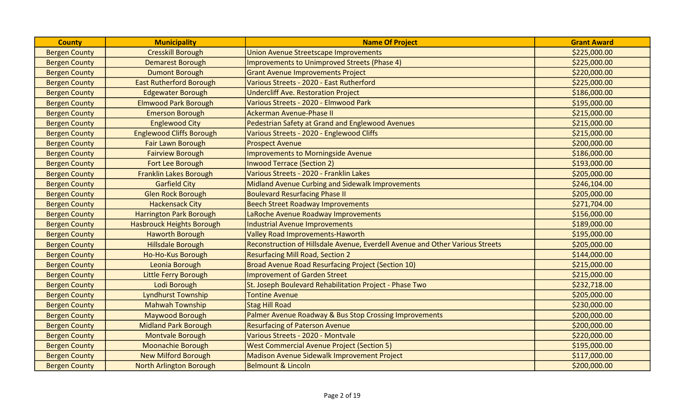| <b>County</b>        | <b>Municipality</b>              | <b>Name Of Project</b>                                                        | <b>Grant Award</b> |
|----------------------|----------------------------------|-------------------------------------------------------------------------------|--------------------|
| <b>Bergen County</b> | <b>Cresskill Borough</b>         | <b>Union Avenue Streetscape Improvements</b>                                  | \$225,000.00       |
| <b>Bergen County</b> | <b>Demarest Borough</b>          | Improvements to Unimproved Streets (Phase 4)                                  | \$225,000.00       |
| <b>Bergen County</b> | <b>Dumont Borough</b>            | <b>Grant Avenue Improvements Project</b>                                      | \$220,000.00       |
| <b>Bergen County</b> | <b>East Rutherford Borough</b>   | Various Streets - 2020 - East Rutherford                                      | \$225,000.00       |
| <b>Bergen County</b> | <b>Edgewater Borough</b>         | <b>Undercliff Ave. Restoration Project</b>                                    | \$186,000.00       |
| <b>Bergen County</b> | <b>Elmwood Park Borough</b>      | Various Streets - 2020 - Elmwood Park                                         | \$195,000.00       |
| <b>Bergen County</b> | <b>Emerson Borough</b>           | <b>Ackerman Avenue-Phase II</b>                                               | \$215,000.00       |
| <b>Bergen County</b> | <b>Englewood City</b>            | Pedestrian Safety at Grand and Englewood Avenues                              | \$215,000.00       |
| <b>Bergen County</b> | <b>Englewood Cliffs Borough</b>  | Various Streets - 2020 - Englewood Cliffs                                     | \$215,000.00       |
| <b>Bergen County</b> | Fair Lawn Borough                | <b>Prospect Avenue</b>                                                        | \$200,000.00       |
| <b>Bergen County</b> | <b>Fairview Borough</b>          | <b>Improvements to Morningside Avenue</b>                                     | \$186,000.00       |
| <b>Bergen County</b> | Fort Lee Borough                 | Inwood Terrace (Section 2)                                                    | \$193,000.00       |
| <b>Bergen County</b> | <b>Franklin Lakes Borough</b>    | Various Streets - 2020 - Franklin Lakes                                       | \$205,000.00       |
| <b>Bergen County</b> | <b>Garfield City</b>             | Midland Avenue Curbing and Sidewalk Improvements                              | \$246,104.00       |
| <b>Bergen County</b> | <b>Glen Rock Borough</b>         | <b>Boulevard Resurfacing Phase II</b>                                         | \$205,000.00       |
| <b>Bergen County</b> | <b>Hackensack City</b>           | <b>Beech Street Roadway Improvements</b>                                      | \$271,704.00       |
| <b>Bergen County</b> | <b>Harrington Park Borough</b>   | LaRoche Avenue Roadway Improvements                                           | \$156,000.00       |
| <b>Bergen County</b> | <b>Hasbrouck Heights Borough</b> | Industrial Avenue Improvements                                                | \$189,000.00       |
| <b>Bergen County</b> | <b>Haworth Borough</b>           | <b>Valley Road Improvements-Haworth</b>                                       | \$195,000.00       |
| <b>Bergen County</b> | <b>Hillsdale Borough</b>         | Reconstruction of Hillsdale Avenue, Everdell Avenue and Other Various Streets | \$205,000.00       |
| <b>Bergen County</b> | Ho-Ho-Kus Borough                | <b>Resurfacing Mill Road, Section 2</b>                                       | \$144,000.00       |
| <b>Bergen County</b> | Leonia Borough                   | Broad Avenue Road Resurfacing Project (Section 10)                            | \$215,000.00       |
| <b>Bergen County</b> | <b>Little Ferry Borough</b>      | <b>Improvement of Garden Street</b>                                           | \$215,000.00       |
| <b>Bergen County</b> | Lodi Borough                     | St. Joseph Boulevard Rehabilitation Project - Phase Two                       | \$232,718.00       |
| <b>Bergen County</b> | <b>Lyndhurst Township</b>        | <b>Tontine Avenue</b>                                                         | \$205,000.00       |
| <b>Bergen County</b> | <b>Mahwah Township</b>           | <b>Stag Hill Road</b>                                                         | \$230,000.00       |
| <b>Bergen County</b> | <b>Maywood Borough</b>           | Palmer Avenue Roadway & Bus Stop Crossing Improvements                        | \$200,000.00       |
| <b>Bergen County</b> | <b>Midland Park Borough</b>      | <b>Resurfacing of Paterson Avenue</b>                                         | \$200,000.00       |
| <b>Bergen County</b> | <b>Montvale Borough</b>          | Various Streets - 2020 - Montvale                                             | \$220,000.00       |
| <b>Bergen County</b> | <b>Moonachie Borough</b>         | <b>West Commercial Avenue Project (Section 5)</b>                             | \$195,000.00       |
| <b>Bergen County</b> | <b>New Milford Borough</b>       | Madison Avenue Sidewalk Improvement Project                                   | \$117,000.00       |
| <b>Bergen County</b> | <b>North Arlington Borough</b>   | Belmount & Lincoln                                                            | \$200,000.00       |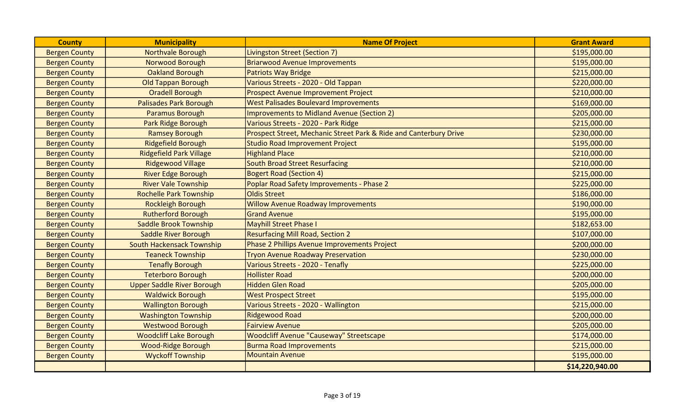| <b>County</b>        | <b>Municipality</b>               | <b>Name Of Project</b>                                            | <b>Grant Award</b> |
|----------------------|-----------------------------------|-------------------------------------------------------------------|--------------------|
| <b>Bergen County</b> | <b>Northvale Borough</b>          | Livingston Street (Section 7)                                     | \$195,000.00       |
| <b>Bergen County</b> | Norwood Borough                   | <b>Briarwood Avenue Improvements</b>                              | \$195,000.00       |
| <b>Bergen County</b> | <b>Oakland Borough</b>            | <b>Patriots Way Bridge</b>                                        | \$215,000.00       |
| <b>Bergen County</b> | <b>Old Tappan Borough</b>         | Various Streets - 2020 - Old Tappan                               | \$220,000.00       |
| <b>Bergen County</b> | <b>Oradell Borough</b>            | <b>Prospect Avenue Improvement Project</b>                        | \$210,000.00       |
| <b>Bergen County</b> | <b>Palisades Park Borough</b>     | <b>West Palisades Boulevard Improvements</b>                      | \$169,000.00       |
| <b>Bergen County</b> | <b>Paramus Borough</b>            | <b>Improvements to Midland Avenue (Section 2)</b>                 | \$205,000.00       |
| <b>Bergen County</b> | Park Ridge Borough                | Various Streets - 2020 - Park Ridge                               | \$215,000.00       |
| <b>Bergen County</b> | <b>Ramsey Borough</b>             | Prospect Street, Mechanic Street Park & Ride and Canterbury Drive | \$230,000.00       |
| <b>Bergen County</b> | <b>Ridgefield Borough</b>         | <b>Studio Road Improvement Project</b>                            | \$195,000.00       |
| <b>Bergen County</b> | <b>Ridgefield Park Village</b>    | <b>Highland Place</b>                                             | \$210,000.00       |
| <b>Bergen County</b> | <b>Ridgewood Village</b>          | South Broad Street Resurfacing                                    | \$210,000.00       |
| <b>Bergen County</b> | <b>River Edge Borough</b>         | <b>Bogert Road (Section 4)</b>                                    | \$215,000.00       |
| <b>Bergen County</b> | <b>River Vale Township</b>        | Poplar Road Safety Improvements - Phase 2                         | \$225,000.00       |
| <b>Bergen County</b> | <b>Rochelle Park Township</b>     | <b>Oldis Street</b>                                               | \$186,000.00       |
| <b>Bergen County</b> | <b>Rockleigh Borough</b>          | <b>Willow Avenue Roadway Improvements</b>                         | \$190,000.00       |
| <b>Bergen County</b> | <b>Rutherford Borough</b>         | <b>Grand Avenue</b>                                               | \$195,000.00       |
| <b>Bergen County</b> | <b>Saddle Brook Township</b>      | <b>Mayhill Street Phase I</b>                                     | \$182,653.00       |
| <b>Bergen County</b> | <b>Saddle River Borough</b>       | <b>Resurfacing Mill Road, Section 2</b>                           | \$107,000.00       |
| <b>Bergen County</b> | South Hackensack Township         | Phase 2 Phillips Avenue Improvements Project                      | \$200,000.00       |
| <b>Bergen County</b> | <b>Teaneck Township</b>           | <b>Tryon Avenue Roadway Preservation</b>                          | \$230,000.00       |
| <b>Bergen County</b> | <b>Tenafly Borough</b>            | Various Streets - 2020 - Tenafly                                  | \$225,000.00       |
| <b>Bergen County</b> | <b>Teterboro Borough</b>          | <b>Hollister Road</b>                                             | \$200,000.00       |
| <b>Bergen County</b> | <b>Upper Saddle River Borough</b> | <b>Hidden Glen Road</b>                                           | \$205,000.00       |
| <b>Bergen County</b> | <b>Waldwick Borough</b>           | <b>West Prospect Street</b>                                       | \$195,000.00       |
| <b>Bergen County</b> | <b>Wallington Borough</b>         | Various Streets - 2020 - Wallington                               | \$215,000.00       |
| <b>Bergen County</b> | <b>Washington Township</b>        | <b>Ridgewood Road</b>                                             | \$200,000.00       |
| <b>Bergen County</b> | <b>Westwood Borough</b>           | <b>Fairview Avenue</b>                                            | \$205,000.00       |
| <b>Bergen County</b> | <b>Woodcliff Lake Borough</b>     | <b>Woodcliff Avenue "Causeway" Streetscape</b>                    | \$174,000.00       |
| <b>Bergen County</b> | <b>Wood-Ridge Borough</b>         | <b>Burma Road Improvements</b>                                    | \$215,000.00       |
| <b>Bergen County</b> | <b>Wyckoff Township</b>           | <b>Mountain Avenue</b>                                            | \$195,000.00       |
|                      |                                   |                                                                   | \$14,220,940.00    |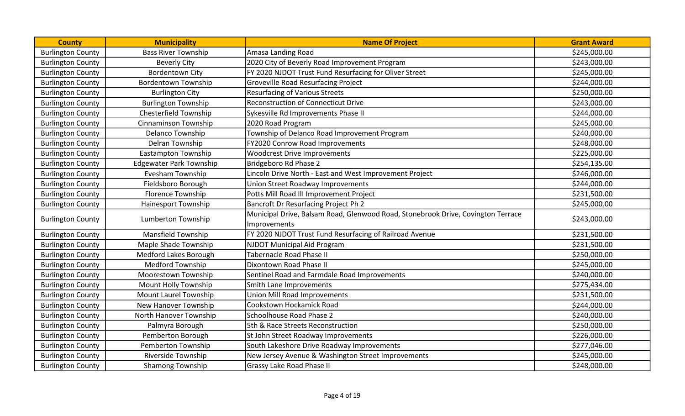| <b>County</b>            | <b>Municipality</b>            | <b>Name Of Project</b>                                                           | <b>Grant Award</b> |
|--------------------------|--------------------------------|----------------------------------------------------------------------------------|--------------------|
| <b>Burlington County</b> | <b>Bass River Township</b>     | Amasa Landing Road                                                               | \$245,000.00       |
| <b>Burlington County</b> | <b>Beverly City</b>            | 2020 City of Beverly Road Improvement Program                                    | \$243,000.00       |
| <b>Burlington County</b> | <b>Bordentown City</b>         | FY 2020 NJDOT Trust Fund Resurfacing for Oliver Street                           | \$245,000.00       |
| <b>Burlington County</b> | <b>Bordentown Township</b>     | <b>Groveville Road Resurfacing Project</b>                                       | \$244,000.00       |
| <b>Burlington County</b> | <b>Burlington City</b>         | <b>Resurfacing of Various Streets</b>                                            | \$250,000.00       |
| <b>Burlington County</b> | <b>Burlington Township</b>     | <b>Reconstruction of Connecticut Drive</b>                                       | \$243,000.00       |
| <b>Burlington County</b> | <b>Chesterfield Township</b>   | Sykesville Rd Improvements Phase II                                              | \$244,000.00       |
| <b>Burlington County</b> | <b>Cinnaminson Township</b>    | 2020 Road Program                                                                | \$245,000.00       |
| <b>Burlington County</b> | Delanco Township               | Township of Delanco Road Improvement Program                                     | \$240,000.00       |
| <b>Burlington County</b> | Delran Township                | FY2020 Conrow Road Improvements                                                  | \$248,000.00       |
| <b>Burlington County</b> | Eastampton Township            | <b>Woodcrest Drive Improvements</b>                                              | \$225,000.00       |
| <b>Burlington County</b> | <b>Edgewater Park Township</b> | Bridgeboro Rd Phase 2                                                            | \$254,135.00       |
| <b>Burlington County</b> | Evesham Township               | Lincoln Drive North - East and West Improvement Project                          | \$246,000.00       |
| <b>Burlington County</b> | Fieldsboro Borough             | Union Street Roadway Improvements                                                | \$244,000.00       |
| <b>Burlington County</b> | <b>Florence Township</b>       | Potts Mill Road III Improvement Project                                          | \$231,500.00       |
| <b>Burlington County</b> | <b>Hainesport Township</b>     | Bancroft Dr Resurfacing Project Ph 2                                             | \$245,000.00       |
|                          | Lumberton Township             | Municipal Drive, Balsam Road, Glenwood Road, Stonebrook Drive, Covington Terrace | \$243,000.00       |
| <b>Burlington County</b> |                                | Improvements                                                                     |                    |
| <b>Burlington County</b> | <b>Mansfield Township</b>      | FY 2020 NJDOT Trust Fund Resurfacing of Railroad Avenue                          | \$231,500.00       |
| <b>Burlington County</b> | Maple Shade Township           | <b>NJDOT Municipal Aid Program</b>                                               | \$231,500.00       |
| <b>Burlington County</b> | Medford Lakes Borough          | Tabernacle Road Phase II                                                         | \$250,000.00       |
| <b>Burlington County</b> | <b>Medford Township</b>        | Dixontown Road Phase II                                                          | \$245,000.00       |
| <b>Burlington County</b> | Moorestown Township            | Sentinel Road and Farmdale Road Improvements                                     | \$240,000.00       |
| <b>Burlington County</b> | Mount Holly Township           | Smith Lane Improvements                                                          | \$275,434.00       |
| <b>Burlington County</b> | Mount Laurel Township          | <b>Union Mill Road Improvements</b>                                              | \$231,500.00       |
| <b>Burlington County</b> | New Hanover Township           | <b>Cookstown Hockamick Road</b>                                                  | \$244,000.00       |
| <b>Burlington County</b> | North Hanover Township         | <b>Schoolhouse Road Phase 2</b>                                                  | \$240,000.00       |
| <b>Burlington County</b> | Palmyra Borough                | 5th & Race Streets Reconstruction                                                | \$250,000.00       |
| <b>Burlington County</b> | Pemberton Borough              | St John Street Roadway Improvements                                              | \$226,000.00       |
| <b>Burlington County</b> | <b>Pemberton Township</b>      | South Lakeshore Drive Roadway Improvements                                       | \$277,046.00       |
| <b>Burlington County</b> | <b>Riverside Township</b>      | New Jersey Avenue & Washington Street Improvements                               | \$245,000.00       |
| <b>Burlington County</b> | <b>Shamong Township</b>        | <b>Grassy Lake Road Phase II</b>                                                 | \$248,000.00       |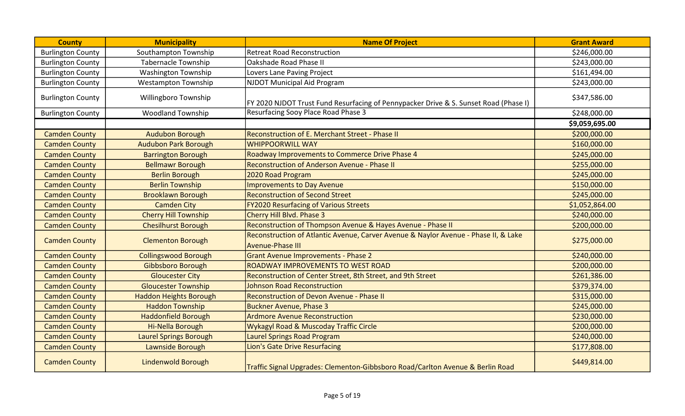| <b>County</b>            | <b>Municipality</b>           | <b>Name Of Project</b>                                                                                         | <b>Grant Award</b> |
|--------------------------|-------------------------------|----------------------------------------------------------------------------------------------------------------|--------------------|
| <b>Burlington County</b> | Southampton Township          | <b>Retreat Road Reconstruction</b>                                                                             | \$246,000.00       |
| <b>Burlington County</b> | <b>Tabernacle Township</b>    | Oakshade Road Phase II                                                                                         | \$243,000.00       |
| <b>Burlington County</b> | <b>Washington Township</b>    | Lovers Lane Paving Project                                                                                     | \$161,494.00       |
| <b>Burlington County</b> | <b>Westampton Township</b>    | <b>NJDOT Municipal Aid Program</b>                                                                             | \$243,000.00       |
| <b>Burlington County</b> | Willingboro Township          | FY 2020 NJDOT Trust Fund Resurfacing of Pennypacker Drive & S. Sunset Road (Phase I)                           | \$347,586.00       |
| <b>Burlington County</b> | <b>Woodland Township</b>      | Resurfacing Sooy Place Road Phase 3                                                                            | \$248,000.00       |
|                          |                               |                                                                                                                | \$9,059,695.00     |
| <b>Camden County</b>     | <b>Audubon Borough</b>        | Reconstruction of E. Merchant Street - Phase II                                                                | \$200,000.00       |
| <b>Camden County</b>     | <b>Audubon Park Borough</b>   | <b>WHIPPOORWILL WAY</b>                                                                                        | \$160,000.00       |
| <b>Camden County</b>     | <b>Barrington Borough</b>     | Roadway Improvements to Commerce Drive Phase 4                                                                 | \$245,000.00       |
| <b>Camden County</b>     | <b>Bellmawr Borough</b>       | <b>Reconstruction of Anderson Avenue - Phase II</b>                                                            | \$255,000.00       |
| <b>Camden County</b>     | <b>Berlin Borough</b>         | 2020 Road Program                                                                                              | \$245,000.00       |
| <b>Camden County</b>     | <b>Berlin Township</b>        | Improvements to Day Avenue                                                                                     | \$150,000.00       |
| <b>Camden County</b>     | <b>Brooklawn Borough</b>      | <b>Reconstruction of Second Street</b>                                                                         | \$245,000.00       |
| <b>Camden County</b>     | <b>Camden City</b>            | <b>FY2020 Resurfacing of Various Streets</b>                                                                   | \$1,052,864.00     |
| <b>Camden County</b>     | <b>Cherry Hill Township</b>   | Cherry Hill Blvd. Phase 3                                                                                      | \$240,000.00       |
| <b>Camden County</b>     | <b>Chesilhurst Borough</b>    | Reconstruction of Thompson Avenue & Hayes Avenue - Phase II                                                    | \$200,000.00       |
| <b>Camden County</b>     | <b>Clementon Borough</b>      | Reconstruction of Atlantic Avenue, Carver Avenue & Naylor Avenue - Phase II, & Lake<br><b>Avenue-Phase III</b> | \$275,000.00       |
| <b>Camden County</b>     | <b>Collingswood Borough</b>   | <b>Grant Avenue Improvements - Phase 2</b>                                                                     | \$240,000.00       |
| <b>Camden County</b>     | <b>Gibbsboro Borough</b>      | ROADWAY IMPROVEMENTS TO WEST ROAD                                                                              | \$200,000.00       |
| <b>Camden County</b>     | <b>Gloucester City</b>        | Reconstruction of Center Street, 8th Street, and 9th Street                                                    | \$261,386.00       |
| <b>Camden County</b>     | <b>Gloucester Township</b>    | <b>Johnson Road Reconstruction</b>                                                                             | \$379,374.00       |
| <b>Camden County</b>     | <b>Haddon Heights Borough</b> | <b>Reconstruction of Devon Avenue - Phase II</b>                                                               | \$315,000.00       |
| <b>Camden County</b>     | <b>Haddon Township</b>        | <b>Buckner Avenue, Phase 3</b>                                                                                 | \$245,000.00       |
| <b>Camden County</b>     | <b>Haddonfield Borough</b>    | <b>Ardmore Avenue Reconstruction</b>                                                                           | \$230,000.00       |
| <b>Camden County</b>     | Hi-Nella Borough              | Wykagyl Road & Muscoday Traffic Circle                                                                         | \$200,000.00       |
| <b>Camden County</b>     | <b>Laurel Springs Borough</b> | <b>Laurel Springs Road Program</b>                                                                             | \$240,000.00       |
| <b>Camden County</b>     | Lawnside Borough              | <b>Lion's Gate Drive Resurfacing</b>                                                                           | \$177,808.00       |
| <b>Camden County</b>     | <b>Lindenwold Borough</b>     | Traffic Signal Upgrades: Clementon-Gibbsboro Road/Carlton Avenue & Berlin Road                                 | \$449,814.00       |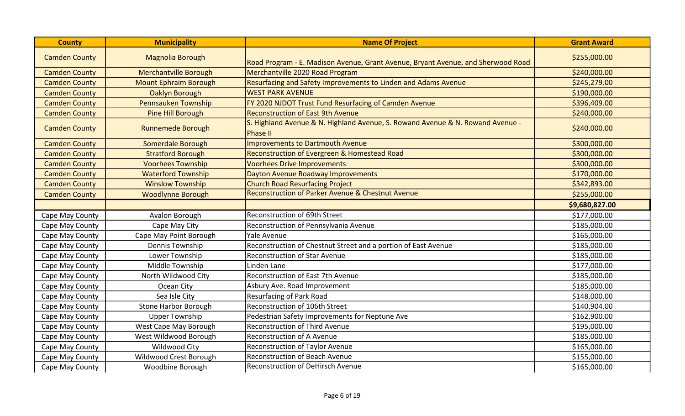| <b>County</b>        | <b>Municipality</b>          | <b>Name Of Project</b>                                                                            | <b>Grant Award</b> |
|----------------------|------------------------------|---------------------------------------------------------------------------------------------------|--------------------|
| <b>Camden County</b> | Magnolia Borough             | Road Program - E. Madison Avenue, Grant Avenue, Bryant Avenue, and Sherwood Road                  | \$255,000.00       |
| <b>Camden County</b> | <b>Merchantville Borough</b> | Merchantville 2020 Road Program                                                                   | \$240,000.00       |
| <b>Camden County</b> | <b>Mount Ephraim Borough</b> | Resurfacing and Safety Improvements to Linden and Adams Avenue                                    | \$245,279.00       |
| <b>Camden County</b> | <b>Oaklyn Borough</b>        | <b>WEST PARK AVENUE</b>                                                                           | \$190,000.00       |
| <b>Camden County</b> | Pennsauken Township          | FY 2020 NJDOT Trust Fund Resurfacing of Camden Avenue                                             | \$396,409.00       |
| <b>Camden County</b> | <b>Pine Hill Borough</b>     | <b>Reconstruction of East 9th Avenue</b>                                                          | \$240,000.00       |
| <b>Camden County</b> | <b>Runnemede Borough</b>     | S. Highland Avenue & N. Highland Avenue, S. Rowand Avenue & N. Rowand Avenue -<br><b>Phase II</b> | \$240,000.00       |
| <b>Camden County</b> | <b>Somerdale Borough</b>     | <b>Improvements to Dartmouth Avenue</b>                                                           | \$300,000.00       |
| <b>Camden County</b> | <b>Stratford Borough</b>     | Reconstruction of Evergreen & Homestead Road                                                      | \$300,000.00       |
| <b>Camden County</b> | <b>Voorhees Township</b>     | <b>Voorhees Drive Improvements</b>                                                                | \$300,000.00       |
| <b>Camden County</b> | <b>Waterford Township</b>    | Dayton Avenue Roadway Improvements                                                                | \$170,000.00       |
| <b>Camden County</b> | <b>Winslow Township</b>      | <b>Church Road Resurfacing Project</b>                                                            | \$342,893.00       |
| <b>Camden County</b> | <b>Woodlynne Borough</b>     | Reconstruction of Parker Avenue & Chestnut Avenue                                                 | \$255,000.00       |
|                      |                              |                                                                                                   | \$9,680,827.00     |
| Cape May County      | Avalon Borough               | <b>Reconstruction of 69th Street</b>                                                              | \$177,000.00       |
| Cape May County      | Cape May City                | Reconstruction of Pennsylvania Avenue                                                             | \$185,000.00       |
| Cape May County      | Cape May Point Borough       | <b>Yale Avenue</b>                                                                                | \$165,000.00       |
| Cape May County      | Dennis Township              | Reconstruction of Chestnut Street and a portion of East Avenue                                    | \$185,000.00       |
| Cape May County      | Lower Township               | <b>Reconstruction of Star Avenue</b>                                                              | \$185,000.00       |
| Cape May County      | Middle Township              | Linden Lane                                                                                       | \$177,000.00       |
| Cape May County      | North Wildwood City          | <b>Reconstruction of East 7th Avenue</b>                                                          | \$185,000.00       |
| Cape May County      | Ocean City                   | Asbury Ave. Road Improvement                                                                      | \$185,000.00       |
| Cape May County      | Sea Isle City                | <b>Resurfacing of Park Road</b>                                                                   | \$148,000.00       |
| Cape May County      | Stone Harbor Borough         | Reconstruction of 106th Street                                                                    | \$140,904.00       |
| Cape May County      | <b>Upper Township</b>        | Pedestrian Safety Improvements for Neptune Ave                                                    | \$162,900.00       |
| Cape May County      | West Cape May Borough        | <b>Reconstruction of Third Avenue</b>                                                             | \$195,000.00       |
| Cape May County      | West Wildwood Borough        | <b>Reconstruction of A Avenue</b>                                                                 | \$185,000.00       |
| Cape May County      | Wildwood City                | <b>Reconstruction of Taylor Avenue</b>                                                            | \$165,000.00       |
| Cape May County      | Wildwood Crest Borough       | <b>Reconstruction of Beach Avenue</b>                                                             | \$155,000.00       |
| Cape May County      | Woodbine Borough             | <b>Reconstruction of DeHirsch Avenue</b>                                                          | \$165,000.00       |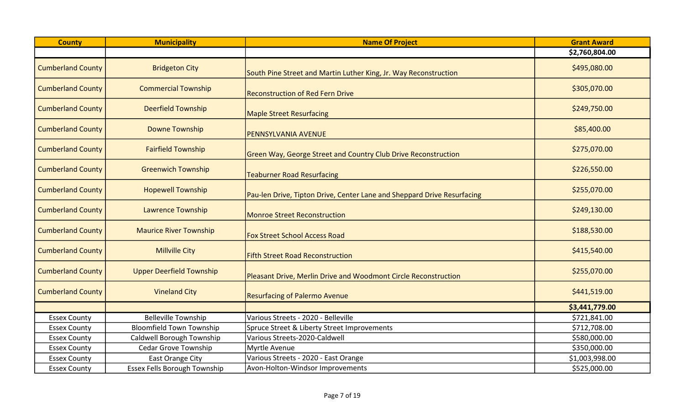| <b>County</b>            | <b>Municipality</b>                 | <b>Name Of Project</b>                                                  | <b>Grant Award</b> |
|--------------------------|-------------------------------------|-------------------------------------------------------------------------|--------------------|
|                          |                                     |                                                                         | \$2,760,804.00     |
| <b>Cumberland County</b> | <b>Bridgeton City</b>               | South Pine Street and Martin Luther King, Jr. Way Reconstruction        | \$495,080.00       |
| <b>Cumberland County</b> | <b>Commercial Township</b>          | <b>Reconstruction of Red Fern Drive</b>                                 | \$305,070.00       |
| <b>Cumberland County</b> | <b>Deerfield Township</b>           | <b>Maple Street Resurfacing</b>                                         | \$249,750.00       |
| <b>Cumberland County</b> | <b>Downe Township</b>               | PENNSYLVANIA AVENUE                                                     | \$85,400.00        |
| <b>Cumberland County</b> | <b>Fairfield Township</b>           | Green Way, George Street and Country Club Drive Reconstruction          | \$275,070.00       |
| <b>Cumberland County</b> | <b>Greenwich Township</b>           | <b>Teaburner Road Resurfacing</b>                                       | \$226,550.00       |
| <b>Cumberland County</b> | <b>Hopewell Township</b>            | Pau-len Drive, Tipton Drive, Center Lane and Sheppard Drive Resurfacing | \$255,070.00       |
| <b>Cumberland County</b> | <b>Lawrence Township</b>            | <b>Monroe Street Reconstruction</b>                                     | \$249,130.00       |
| <b>Cumberland County</b> | <b>Maurice River Township</b>       | <b>Fox Street School Access Road</b>                                    | \$188,530.00       |
| <b>Cumberland County</b> | <b>Millville City</b>               | <b>Fifth Street Road Reconstruction</b>                                 | \$415,540.00       |
| <b>Cumberland County</b> | <b>Upper Deerfield Township</b>     | Pleasant Drive, Merlin Drive and Woodmont Circle Reconstruction         | \$255,070.00       |
| <b>Cumberland County</b> | <b>Vineland City</b>                | <b>Resurfacing of Palermo Avenue</b>                                    | \$441,519.00       |
|                          |                                     |                                                                         | \$3,441,779.00     |
| <b>Essex County</b>      | <b>Belleville Township</b>          | Various Streets - 2020 - Belleville                                     | \$721,841.00       |
| <b>Essex County</b>      | <b>Bloomfield Town Township</b>     | Spruce Street & Liberty Street Improvements                             | \$712,708.00       |
| <b>Essex County</b>      | Caldwell Borough Township           | Various Streets-2020-Caldwell                                           | \$580,000.00       |
| <b>Essex County</b>      | <b>Cedar Grove Township</b>         | Myrtle Avenue                                                           | \$350,000.00       |
| <b>Essex County</b>      | East Orange City                    | Various Streets - 2020 - East Orange                                    | \$1,003,998.00     |
| <b>Essex County</b>      | <b>Essex Fells Borough Township</b> | Avon-Holton-Windsor Improvements                                        | \$525,000.00       |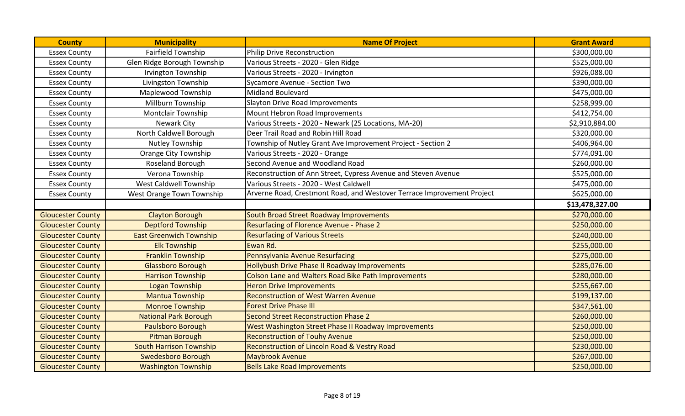| <b>County</b>            | <b>Municipality</b>            | <b>Name Of Project</b>                                                 | <b>Grant Award</b> |
|--------------------------|--------------------------------|------------------------------------------------------------------------|--------------------|
| <b>Essex County</b>      | <b>Fairfield Township</b>      | Philip Drive Reconstruction                                            | \$300,000.00       |
| <b>Essex County</b>      | Glen Ridge Borough Township    | Various Streets - 2020 - Glen Ridge                                    | \$525,000.00       |
| <b>Essex County</b>      | Irvington Township             | Various Streets - 2020 - Irvington                                     | \$926,088.00       |
| <b>Essex County</b>      | Livingston Township            | <b>Sycamore Avenue - Section Two</b>                                   | \$390,000.00       |
| <b>Essex County</b>      | Maplewood Township             | Midland Boulevard                                                      | \$475,000.00       |
| <b>Essex County</b>      | Millburn Township              | Slayton Drive Road Improvements                                        | \$258,999.00       |
| <b>Essex County</b>      | <b>Montclair Township</b>      | Mount Hebron Road Improvements                                         | \$412,754.00       |
| <b>Essex County</b>      | <b>Newark City</b>             | Various Streets - 2020 - Newark (25 Locations, MA-20)                  | \$2,910,884.00     |
| <b>Essex County</b>      | North Caldwell Borough         | Deer Trail Road and Robin Hill Road                                    | \$320,000.00       |
| <b>Essex County</b>      | <b>Nutley Township</b>         | Township of Nutley Grant Ave Improvement Project - Section 2           | \$406,964.00       |
| <b>Essex County</b>      | <b>Orange City Township</b>    | Various Streets - 2020 - Orange                                        | \$774,091.00       |
| <b>Essex County</b>      | <b>Roseland Borough</b>        | Second Avenue and Woodland Road                                        | \$260,000.00       |
| <b>Essex County</b>      | Verona Township                | Reconstruction of Ann Street, Cypress Avenue and Steven Avenue         | \$525,000.00       |
| <b>Essex County</b>      | <b>West Caldwell Township</b>  | Various Streets - 2020 - West Caldwell                                 | \$475,000.00       |
| <b>Essex County</b>      | West Orange Town Township      | Arverne Road, Crestmont Road, and Westover Terrace Improvement Project | \$625,000.00       |
|                          |                                |                                                                        | \$13,478,327.00    |
| <b>Gloucester County</b> | <b>Clayton Borough</b>         | South Broad Street Roadway Improvements                                | \$270,000.00       |
| <b>Gloucester County</b> | <b>Deptford Township</b>       | <b>Resurfacing of Florence Avenue - Phase 2</b>                        | \$250,000.00       |
| <b>Gloucester County</b> | <b>East Greenwich Township</b> | <b>Resurfacing of Various Streets</b>                                  | \$240,000.00       |
| <b>Gloucester County</b> | <b>Elk Township</b>            | Ewan Rd.                                                               | \$255,000.00       |
| <b>Gloucester County</b> | <b>Franklin Township</b>       | Pennsylvania Avenue Resurfacing                                        | \$275,000.00       |
| <b>Gloucester County</b> | <b>Glassboro Borough</b>       | Hollybush Drive Phase II Roadway Improvements                          | \$285,076.00       |
| <b>Gloucester County</b> | <b>Harrison Township</b>       | <b>Colson Lane and Walters Road Bike Path Improvements</b>             | \$280,000.00       |
| <b>Gloucester County</b> | <b>Logan Township</b>          | <b>Heron Drive Improvements</b>                                        | \$255,667.00       |
| <b>Gloucester County</b> | <b>Mantua Township</b>         | <b>Reconstruction of West Warren Avenue</b>                            | \$199,137.00       |
| <b>Gloucester County</b> | <b>Monroe Township</b>         | <b>Forest Drive Phase III</b>                                          | \$347,561.00       |
| <b>Gloucester County</b> | <b>National Park Borough</b>   | <b>Second Street Reconstruction Phase 2</b>                            | \$260,000.00       |
| <b>Gloucester County</b> | <b>Paulsboro Borough</b>       | West Washington Street Phase II Roadway Improvements                   | \$250,000.00       |
| <b>Gloucester County</b> | Pitman Borough                 | <b>Reconstruction of Touhy Avenue</b>                                  | \$250,000.00       |
| <b>Gloucester County</b> | <b>South Harrison Township</b> | <b>Reconstruction of Lincoln Road &amp; Vestry Road</b>                | \$230,000.00       |
| <b>Gloucester County</b> | <b>Swedesboro Borough</b>      | <b>Maybrook Avenue</b>                                                 | \$267,000.00       |
| <b>Gloucester County</b> | <b>Washington Township</b>     | <b>Bells Lake Road Improvements</b>                                    | \$250,000.00       |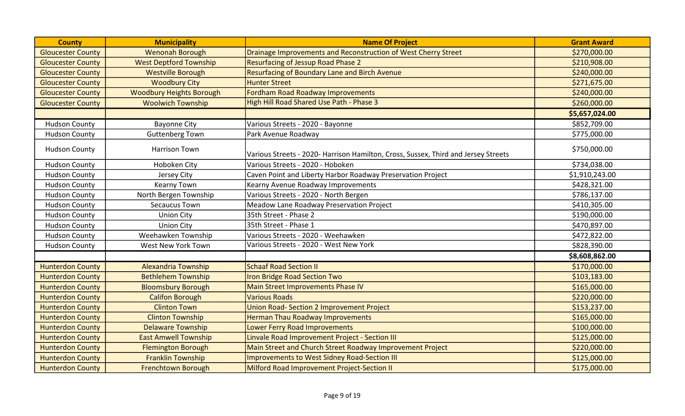| <b>County</b>            | <b>Municipality</b>             | <b>Name Of Project</b>                                                             | <b>Grant Award</b> |
|--------------------------|---------------------------------|------------------------------------------------------------------------------------|--------------------|
| <b>Gloucester County</b> | <b>Wenonah Borough</b>          | Drainage Improvements and Reconstruction of West Cherry Street                     | \$270,000.00       |
| <b>Gloucester County</b> | <b>West Deptford Township</b>   | <b>Resurfacing of Jessup Road Phase 2</b>                                          | \$210,908.00       |
| <b>Gloucester County</b> | <b>Westville Borough</b>        | Resurfacing of Boundary Lane and Birch Avenue                                      | \$240,000.00       |
| <b>Gloucester County</b> | <b>Woodbury City</b>            | <b>Hunter Street</b>                                                               | \$271,675.00       |
| <b>Gloucester County</b> | <b>Woodbury Heights Borough</b> | <b>Fordham Road Roadway Improvements</b>                                           | \$240,000.00       |
| <b>Gloucester County</b> | <b>Woolwich Township</b>        | High Hill Road Shared Use Path - Phase 3                                           | \$260,000.00       |
|                          |                                 |                                                                                    | \$5,657,024.00     |
| <b>Hudson County</b>     | <b>Bayonne City</b>             | Various Streets - 2020 - Bayonne                                                   | \$852,709.00       |
| <b>Hudson County</b>     | <b>Guttenberg Town</b>          | Park Avenue Roadway                                                                | \$775,000.00       |
| <b>Hudson County</b>     | <b>Harrison Town</b>            | Various Streets - 2020- Harrison Hamilton, Cross, Sussex, Third and Jersey Streets | \$750,000.00       |
| <b>Hudson County</b>     | Hoboken City                    | Various Streets - 2020 - Hoboken                                                   | \$734,038.00       |
| <b>Hudson County</b>     | Jersey City                     | Caven Point and Liberty Harbor Roadway Preservation Project                        | \$1,910,243.00     |
| <b>Hudson County</b>     | <b>Kearny Town</b>              | Kearny Avenue Roadway Improvements                                                 | \$428,321.00       |
| <b>Hudson County</b>     | North Bergen Township           | Various Streets - 2020 - North Bergen                                              | \$786,137.00       |
| <b>Hudson County</b>     | <b>Secaucus Town</b>            | Meadow Lane Roadway Preservation Project                                           | \$410,305.00       |
| <b>Hudson County</b>     | <b>Union City</b>               | 35th Street - Phase 2                                                              | \$190,000.00       |
| <b>Hudson County</b>     | <b>Union City</b>               | 35th Street - Phase 1                                                              | \$470,897.00       |
| <b>Hudson County</b>     | Weehawken Township              | Various Streets - 2020 - Weehawken                                                 | \$472,822.00       |
| <b>Hudson County</b>     | West New York Town              | Various Streets - 2020 - West New York                                             | \$828,390.00       |
|                          |                                 |                                                                                    | \$8,608,862.00     |
| <b>Hunterdon County</b>  | <b>Alexandria Township</b>      | <b>Schaaf Road Section II</b>                                                      | \$170,000.00       |
| <b>Hunterdon County</b>  | <b>Bethlehem Township</b>       | <b>Iron Bridge Road Section Two</b>                                                | \$103,183.00       |
| <b>Hunterdon County</b>  | <b>Bloomsbury Borough</b>       | Main Street Improvements Phase IV                                                  | \$165,000.00       |
| <b>Hunterdon County</b>  | <b>Califon Borough</b>          | <b>Various Roads</b>                                                               | \$220,000.00       |
| <b>Hunterdon County</b>  | <b>Clinton Town</b>             | Union Road- Section 2 Improvement Project                                          | \$153,237.00       |
| <b>Hunterdon County</b>  | <b>Clinton Township</b>         | <b>Herman Thau Roadway Improvements</b>                                            | \$165,000.00       |
| <b>Hunterdon County</b>  | <b>Delaware Township</b>        | <b>Lower Ferry Road Improvements</b>                                               | \$100,000.00       |
| <b>Hunterdon County</b>  | <b>East Amwell Township</b>     | Linvale Road Improvement Project - Section III                                     | \$125,000.00       |
| <b>Hunterdon County</b>  | <b>Flemington Borough</b>       | Main Street and Church Street Roadway Improvement Project                          | \$220,000.00       |
| <b>Hunterdon County</b>  | <b>Franklin Township</b>        | <b>Improvements to West Sidney Road-Section III</b>                                | \$125,000.00       |
| <b>Hunterdon County</b>  | <b>Frenchtown Borough</b>       | Milford Road Improvement Project-Section II                                        | \$175,000.00       |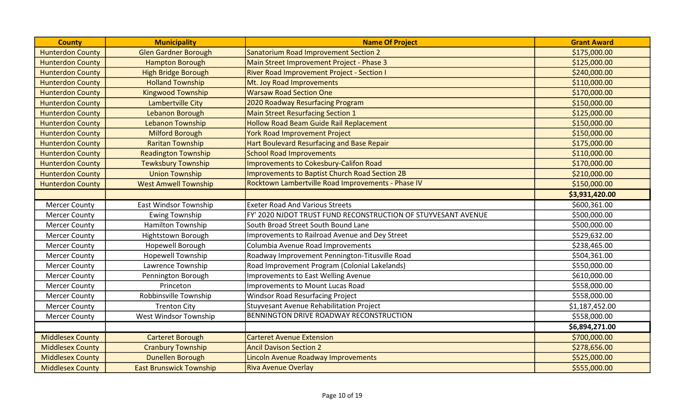| <b>County</b>           | <b>Municipality</b>            | <b>Name Of Project</b>                                        | <b>Grant Award</b> |
|-------------------------|--------------------------------|---------------------------------------------------------------|--------------------|
| <b>Hunterdon County</b> | <b>Glen Gardner Borough</b>    | <b>Sanatorium Road Improvement Section 2</b>                  | \$175,000.00       |
| <b>Hunterdon County</b> | <b>Hampton Borough</b>         | Main Street Improvement Project - Phase 3                     | \$125,000.00       |
| <b>Hunterdon County</b> | <b>High Bridge Borough</b>     | <b>River Road Improvement Project - Section I</b>             | \$240,000.00       |
| <b>Hunterdon County</b> | <b>Holland Township</b>        | Mt. Joy Road Improvements                                     | \$110,000.00       |
| <b>Hunterdon County</b> | <b>Kingwood Township</b>       | <b>Warsaw Road Section One</b>                                | \$170,000.00       |
| <b>Hunterdon County</b> | Lambertville City              | 2020 Roadway Resurfacing Program                              | \$150,000.00       |
| <b>Hunterdon County</b> | Lebanon Borough                | <b>Main Street Resurfacing Section 1</b>                      | \$125,000.00       |
| <b>Hunterdon County</b> | <b>Lebanon Township</b>        | <b>Hollow Road Beam Guide Rail Replacement</b>                | \$150,000.00       |
| <b>Hunterdon County</b> | <b>Milford Borough</b>         | <b>York Road Improvement Project</b>                          | \$150,000.00       |
| <b>Hunterdon County</b> | <b>Raritan Township</b>        | Hart Boulevard Resurfacing and Base Repair                    | \$175,000.00       |
| <b>Hunterdon County</b> | <b>Readington Township</b>     | <b>School Road Improvements</b>                               | \$110,000.00       |
| <b>Hunterdon County</b> | <b>Tewksbury Township</b>      | <b>Improvements to Cokesbury-Califon Road</b>                 | \$170,000.00       |
| <b>Hunterdon County</b> | <b>Union Township</b>          | Improvements to Baptist Church Road Section 2B                | \$210,000.00       |
| <b>Hunterdon County</b> | <b>West Amwell Township</b>    | Rocktown Lambertville Road Improvements - Phase IV            | \$150,000.00       |
|                         |                                |                                                               | \$3,931,420.00     |
| <b>Mercer County</b>    | <b>East Windsor Township</b>   | <b>Exeter Road And Various Streets</b>                        | \$600,361.00       |
| <b>Mercer County</b>    | <b>Ewing Township</b>          | FY' 2020 NJDOT TRUST FUND RECONSTRUCTION OF STUYVESANT AVENUE | \$500,000.00       |
| <b>Mercer County</b>    | <b>Hamilton Township</b>       | South Broad Street South Bound Lane                           | \$500,000.00       |
| <b>Mercer County</b>    | Hightstown Borough             | Improvements to Railroad Avenue and Dey Street                | \$529,632.00       |
| <b>Mercer County</b>    | Hopewell Borough               | Columbia Avenue Road Improvements                             | \$238,465.00       |
| <b>Mercer County</b>    | <b>Hopewell Township</b>       | Roadway Improvement Pennington-Titusville Road                | \$504,361.00       |
| <b>Mercer County</b>    | Lawrence Township              | Road Improvement Program (Colonial Lakelands)                 | \$550,000.00       |
| <b>Mercer County</b>    | Pennington Borough             | Improvements to East Welling Avenue                           | \$610,000.00       |
| <b>Mercer County</b>    | Princeton                      | Improvements to Mount Lucas Road                              | \$558,000.00       |
| <b>Mercer County</b>    | Robbinsville Township          | <b>Windsor Road Resurfacing Project</b>                       | \$558,000.00       |
| <b>Mercer County</b>    | <b>Trenton City</b>            | Stuyvesant Avenue Rehabilitation Project                      | \$1,187,452.00     |
| <b>Mercer County</b>    | West Windsor Township          | BENNINGTON DRIVE ROADWAY RECONSTRUCTION                       | \$558,000.00       |
|                         |                                |                                                               | \$6,894,271.00     |
| <b>Middlesex County</b> | <b>Carteret Borough</b>        | <b>Carteret Avenue Extension</b>                              | \$700,000.00       |
| <b>Middlesex County</b> | <b>Cranbury Township</b>       | <b>Ancil Davison Section 2</b>                                | \$278,656.00       |
| <b>Middlesex County</b> | <b>Dunellen Borough</b>        | Lincoln Avenue Roadway Improvements                           | \$525,000.00       |
| <b>Middlesex County</b> | <b>East Brunswick Township</b> | <b>Riva Avenue Overlay</b>                                    | \$555,000.00       |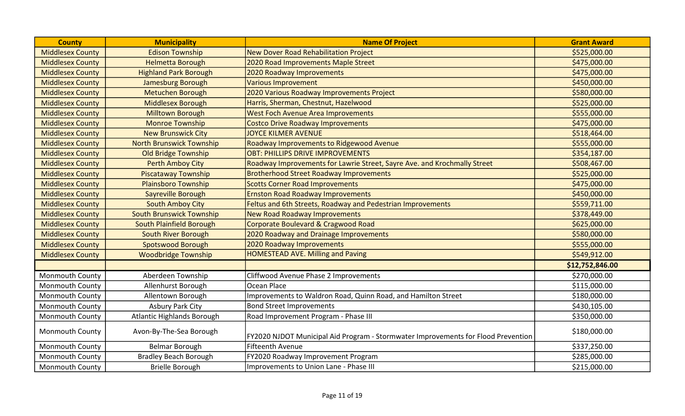| <b>County</b>           | <b>Municipality</b>             | <b>Name Of Project</b>                                                            | <b>Grant Award</b> |
|-------------------------|---------------------------------|-----------------------------------------------------------------------------------|--------------------|
| <b>Middlesex County</b> | <b>Edison Township</b>          | <b>New Dover Road Rehabilitation Project</b>                                      | \$525,000.00       |
| <b>Middlesex County</b> | <b>Helmetta Borough</b>         | 2020 Road Improvements Maple Street                                               | \$475,000.00       |
| <b>Middlesex County</b> | <b>Highland Park Borough</b>    | 2020 Roadway Improvements                                                         | \$475,000.00       |
| <b>Middlesex County</b> | Jamesburg Borough               | <b>Various Improvement</b>                                                        | \$450,000.00       |
| <b>Middlesex County</b> | Metuchen Borough                | 2020 Various Roadway Improvements Project                                         | \$580,000.00       |
| <b>Middlesex County</b> | <b>Middlesex Borough</b>        | Harris, Sherman, Chestnut, Hazelwood                                              | \$525,000.00       |
| <b>Middlesex County</b> | <b>Milltown Borough</b>         | <b>West Foch Avenue Area Improvements</b>                                         | \$555,000.00       |
| <b>Middlesex County</b> | <b>Monroe Township</b>          | <b>Costco Drive Roadway Improvements</b>                                          | \$475,000.00       |
| <b>Middlesex County</b> | <b>New Brunswick City</b>       | <b>JOYCE KILMER AVENUE</b>                                                        | \$518,464.00       |
| <b>Middlesex County</b> | <b>North Brunswick Township</b> | Roadway Improvements to Ridgewood Avenue                                          | \$555,000.00       |
| <b>Middlesex County</b> | <b>Old Bridge Township</b>      | <b>OBT: PHILLIPS DRIVE IMPROVEMENTS</b>                                           | \$354,187.00       |
| <b>Middlesex County</b> | <b>Perth Amboy City</b>         | Roadway Improvements for Lawrie Street, Sayre Ave. and Krochmally Street          | \$508,467.00       |
| <b>Middlesex County</b> | <b>Piscataway Township</b>      | <b>Brotherhood Street Roadway Improvements</b>                                    | \$525,000.00       |
| <b>Middlesex County</b> | <b>Plainsboro Township</b>      | <b>Scotts Corner Road Improvements</b>                                            | \$475,000.00       |
| <b>Middlesex County</b> | Sayreville Borough              | <b>Ernston Road Roadway Improvements</b>                                          | \$450,000.00       |
| <b>Middlesex County</b> | <b>South Amboy City</b>         | Feltus and 6th Streets, Roadway and Pedestrian Improvements                       | \$559,711.00       |
| <b>Middlesex County</b> | <b>South Brunswick Township</b> | <b>New Road Roadway Improvements</b>                                              | \$378,449.00       |
| <b>Middlesex County</b> | <b>South Plainfield Borough</b> | Corporate Boulevard & Cragwood Road                                               | \$625,000.00       |
| <b>Middlesex County</b> | <b>South River Borough</b>      | 2020 Roadway and Drainage Improvements                                            | \$580,000.00       |
| <b>Middlesex County</b> | <b>Spotswood Borough</b>        | 2020 Roadway Improvements                                                         | \$555,000.00       |
| <b>Middlesex County</b> | <b>Woodbridge Township</b>      | <b>HOMESTEAD AVE. Milling and Paving</b>                                          | \$549,912.00       |
|                         |                                 |                                                                                   | \$12,752,846.00    |
| Monmouth County         | Aberdeen Township               | Cliffwood Avenue Phase 2 Improvements                                             | \$270,000.00       |
| Monmouth County         | Allenhurst Borough              | Ocean Place                                                                       | \$115,000.00       |
| <b>Monmouth County</b>  | Allentown Borough               | Improvements to Waldron Road, Quinn Road, and Hamilton Street                     | \$180,000.00       |
| <b>Monmouth County</b>  | <b>Asbury Park City</b>         | <b>Bond Street Improvements</b>                                                   | \$430,105.00       |
| <b>Monmouth County</b>  | Atlantic Highlands Borough      | Road Improvement Program - Phase III                                              | \$350,000.00       |
| <b>Monmouth County</b>  | Avon-By-The-Sea Borough         | FY2020 NJDOT Municipal Aid Program - Stormwater Improvements for Flood Prevention | \$180,000.00       |
| Monmouth County         | Belmar Borough                  | <b>Fifteenth Avenue</b>                                                           | \$337,250.00       |
| Monmouth County         | <b>Bradley Beach Borough</b>    | FY2020 Roadway Improvement Program                                                | \$285,000.00       |
| Monmouth County         | <b>Brielle Borough</b>          | Improvements to Union Lane - Phase III                                            | \$215,000.00       |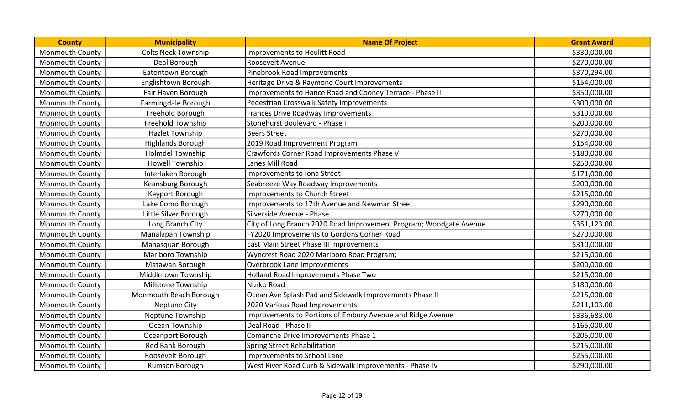| <b>County</b>          | <b>Municipality</b>        | <b>Name Of Project</b>                                             | <b>Grant Award</b> |
|------------------------|----------------------------|--------------------------------------------------------------------|--------------------|
| Monmouth County        | <b>Colts Neck Township</b> | Improvements to Heulitt Road                                       | \$330,000.00       |
| <b>Monmouth County</b> | Deal Borough               | <b>Roosevelt Avenue</b>                                            | \$270,000.00       |
| <b>Monmouth County</b> | Eatontown Borough          | Pinebrook Road Improvements                                        | \$370,294.00       |
| <b>Monmouth County</b> | Englishtown Borough        | Heritage Drive & Raymond Court Improvements                        | \$154,000.00       |
| Monmouth County        | Fair Haven Borough         | Improvements to Hance Road and Cooney Terrace - Phase II           | \$350,000.00       |
| <b>Monmouth County</b> | Farmingdale Borough        | Pedestrian Crosswalk Safety Improvements                           | \$300,000.00       |
| <b>Monmouth County</b> | Freehold Borough           | Frances Drive Roadway Improvements                                 | \$310,000.00       |
| <b>Monmouth County</b> | Freehold Township          | Stonehurst Boulevard - Phase I                                     | \$200,000.00       |
| <b>Monmouth County</b> | Hazlet Township            | <b>Beers Street</b>                                                | \$270,000.00       |
| Monmouth County        | <b>Highlands Borough</b>   | 2019 Road Improvement Program                                      | \$154,000.00       |
| <b>Monmouth County</b> | <b>Holmdel Township</b>    | Crawfords Corner Road Improvements Phase V                         | \$180,000.00       |
| Monmouth County        | <b>Howell Township</b>     | Lanes Mill Road                                                    | \$250,000.00       |
| <b>Monmouth County</b> | Interlaken Borough         | Improvements to Iona Street                                        | \$171,000.00       |
| Monmouth County        | Keansburg Borough          | Seabreeze Way Roadway Improvements                                 | \$200,000.00       |
| <b>Monmouth County</b> | Keyport Borough            | <b>Improvements to Church Street</b>                               | \$215,000.00       |
| <b>Monmouth County</b> | Lake Como Borough          | Improvements to 17th Avenue and Newman Street                      | \$290,000.00       |
| <b>Monmouth County</b> | Little Silver Borough      | Silverside Avenue - Phase I                                        | \$270,000.00       |
| <b>Monmouth County</b> | Long Branch City           | City of Long Branch 2020 Road Improvement Program; Woodgate Avenue | \$351,123.00       |
| <b>Monmouth County</b> | Manalapan Township         | FY2020 Improvements to Gordons Corner Road                         | \$270,000.00       |
| Monmouth County        | Manasquan Borough          | East Main Street Phase III Improvements                            | \$310,000.00       |
| <b>Monmouth County</b> | <b>Marlboro Township</b>   | Wyncrest Road 2020 Marlboro Road Program;                          | \$215,000.00       |
| <b>Monmouth County</b> | Matawan Borough            | <b>Overbrook Lane Improvements</b>                                 | \$200,000.00       |
| <b>Monmouth County</b> | Middletown Township        | Holland Road Improvements Phase Two                                | \$215,000.00       |
| Monmouth County        | Millstone Township         | Nurko Road                                                         | \$180,000.00       |
| <b>Monmouth County</b> | Monmouth Beach Borough     | Ocean Ave Splash Pad and Sidewalk Improvements Phase II            | \$215,000.00       |
| <b>Monmouth County</b> | <b>Neptune City</b>        | 2020 Various Road Improvements                                     | \$211,103.00       |
| <b>Monmouth County</b> | Neptune Township           | Improvements to Portions of Embury Avenue and Ridge Avenue         | \$336,683.00       |
| <b>Monmouth County</b> | Ocean Township             | Deal Road - Phase II                                               | \$165,000.00       |
| <b>Monmouth County</b> | Oceanport Borough          | Comanche Drive Improvements Phase 1                                | \$205,000.00       |
| <b>Monmouth County</b> | Red Bank Borough           | <b>Spring Street Rehabilitation</b>                                | \$215,000.00       |
| Monmouth County        | Roosevelt Borough          | Improvements to School Lane                                        | \$255,000.00       |
| <b>Monmouth County</b> | Rumson Borough             | West River Road Curb & Sidewalk Improvements - Phase IV            | \$290,000.00       |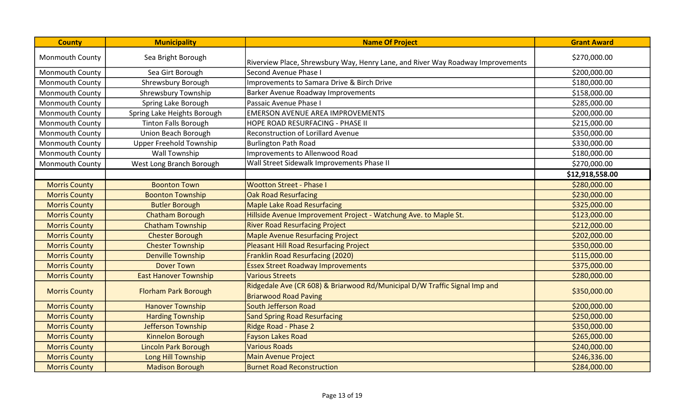| <b>County</b>          | <b>Municipality</b>            | <b>Name Of Project</b>                                                                                     | <b>Grant Award</b> |
|------------------------|--------------------------------|------------------------------------------------------------------------------------------------------------|--------------------|
| Monmouth County        | Sea Bright Borough             | Riverview Place, Shrewsbury Way, Henry Lane, and River Way Roadway Improvements                            | \$270,000.00       |
| <b>Monmouth County</b> | Sea Girt Borough               | Second Avenue Phase I                                                                                      | \$200,000.00       |
| <b>Monmouth County</b> | Shrewsbury Borough             | Improvements to Samara Drive & Birch Drive                                                                 | \$180,000.00       |
| <b>Monmouth County</b> | <b>Shrewsbury Township</b>     | Barker Avenue Roadway Improvements                                                                         | \$158,000.00       |
| <b>Monmouth County</b> | Spring Lake Borough            | Passaic Avenue Phase I                                                                                     | \$285,000.00       |
| <b>Monmouth County</b> | Spring Lake Heights Borough    | <b>EMERSON AVENUE AREA IMPROVEMENTS</b>                                                                    | \$200,000.00       |
| Monmouth County        | <b>Tinton Falls Borough</b>    | HOPE ROAD RESURFACING - PHASE II                                                                           | \$215,000.00       |
| Monmouth County        | <b>Union Beach Borough</b>     | <b>Reconstruction of Lorillard Avenue</b>                                                                  | \$350,000.00       |
| <b>Monmouth County</b> | <b>Upper Freehold Township</b> | <b>Burlington Path Road</b>                                                                                | \$330,000.00       |
| <b>Monmouth County</b> | <b>Wall Township</b>           | Improvements to Allenwood Road                                                                             | \$180,000.00       |
| <b>Monmouth County</b> | West Long Branch Borough       | Wall Street Sidewalk Improvements Phase II                                                                 | \$270,000.00       |
|                        |                                |                                                                                                            | \$12,918,558.00    |
| <b>Morris County</b>   | <b>Boonton Town</b>            | <b>Wootton Street - Phase I</b>                                                                            | \$280,000.00       |
| <b>Morris County</b>   | <b>Boonton Township</b>        | <b>Oak Road Resurfacing</b>                                                                                | \$230,000.00       |
| <b>Morris County</b>   | <b>Butler Borough</b>          | <b>Maple Lake Road Resurfacing</b>                                                                         | \$325,000.00       |
| <b>Morris County</b>   | <b>Chatham Borough</b>         | Hillside Avenue Improvement Project - Watchung Ave. to Maple St.                                           | \$123,000.00       |
| <b>Morris County</b>   | <b>Chatham Township</b>        | <b>River Road Resurfacing Project</b>                                                                      | \$212,000.00       |
| <b>Morris County</b>   | <b>Chester Borough</b>         | <b>Maple Avenue Resurfacing Project</b>                                                                    | \$202,000.00       |
| <b>Morris County</b>   | <b>Chester Township</b>        | Pleasant Hill Road Resurfacing Project                                                                     | \$350,000.00       |
| <b>Morris County</b>   | <b>Denville Township</b>       | <b>Franklin Road Resurfacing (2020)</b>                                                                    | \$115,000.00       |
| <b>Morris County</b>   | <b>Dover Town</b>              | <b>Essex Street Roadway Improvements</b>                                                                   | \$375,000.00       |
| <b>Morris County</b>   | <b>East Hanover Township</b>   | <b>Various Streets</b>                                                                                     | \$280,000.00       |
| <b>Morris County</b>   | <b>Florham Park Borough</b>    | Ridgedale Ave (CR 608) & Briarwood Rd/Municipal D/W Traffic Signal Imp and<br><b>Briarwood Road Paving</b> | \$350,000.00       |
| <b>Morris County</b>   | <b>Hanover Township</b>        | South Jefferson Road                                                                                       | \$200,000.00       |
| <b>Morris County</b>   | <b>Harding Township</b>        | <b>Sand Spring Road Resurfacing</b>                                                                        | \$250,000.00       |
| <b>Morris County</b>   | Jefferson Township             | <b>Ridge Road - Phase 2</b>                                                                                | \$350,000.00       |
| <b>Morris County</b>   | Kinnelon Borough               | <b>Fayson Lakes Road</b>                                                                                   | \$265,000.00       |
| <b>Morris County</b>   | <b>Lincoln Park Borough</b>    | <b>Various Roads</b>                                                                                       | \$240,000.00       |
| <b>Morris County</b>   | <b>Long Hill Township</b>      | <b>Main Avenue Project</b>                                                                                 | \$246,336.00       |
| <b>Morris County</b>   | <b>Madison Borough</b>         | <b>Burnet Road Reconstruction</b>                                                                          | \$284,000.00       |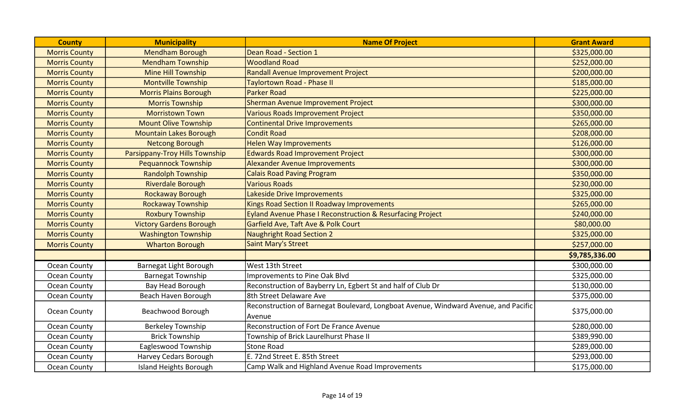| <b>County</b>        | <b>Municipality</b>            | <b>Name Of Project</b>                                                              | <b>Grant Award</b> |
|----------------------|--------------------------------|-------------------------------------------------------------------------------------|--------------------|
| <b>Morris County</b> | <b>Mendham Borough</b>         | Dean Road - Section 1                                                               | \$325,000.00       |
| <b>Morris County</b> | <b>Mendham Township</b>        | <b>Woodland Road</b>                                                                | \$252,000.00       |
| <b>Morris County</b> | <b>Mine Hill Township</b>      | Randall Avenue Improvement Project                                                  | \$200,000.00       |
| <b>Morris County</b> | <b>Montville Township</b>      | Taylortown Road - Phase II                                                          | \$185,000.00       |
| <b>Morris County</b> | <b>Morris Plains Borough</b>   | <b>Parker Road</b>                                                                  | \$225,000.00       |
| <b>Morris County</b> | <b>Morris Township</b>         | Sherman Avenue Improvement Project                                                  | \$300,000.00       |
| <b>Morris County</b> | <b>Morristown Town</b>         | <b>Various Roads Improvement Project</b>                                            | \$350,000.00       |
| <b>Morris County</b> | <b>Mount Olive Township</b>    | <b>Continental Drive Improvements</b>                                               | \$265,000.00       |
| <b>Morris County</b> | <b>Mountain Lakes Borough</b>  | Condit Road                                                                         | \$208,000.00       |
| <b>Morris County</b> | <b>Netcong Borough</b>         | <b>Helen Way Improvements</b>                                                       | \$126,000.00       |
| <b>Morris County</b> | Parsippany-Troy Hills Township | <b>Edwards Road Improvement Project</b>                                             | \$300,000.00       |
| <b>Morris County</b> | <b>Pequannock Township</b>     | Alexander Avenue Improvements                                                       | \$300,000.00       |
| <b>Morris County</b> | <b>Randolph Township</b>       | <b>Calais Road Paving Program</b>                                                   | \$350,000.00       |
| <b>Morris County</b> | <b>Riverdale Borough</b>       | <b>Various Roads</b>                                                                | \$230,000.00       |
| <b>Morris County</b> | <b>Rockaway Borough</b>        | Lakeside Drive Improvements                                                         | \$325,000.00       |
| <b>Morris County</b> | <b>Rockaway Township</b>       | Kings Road Section II Roadway Improvements                                          | \$265,000.00       |
| <b>Morris County</b> | <b>Roxbury Township</b>        | Eyland Avenue Phase I Reconstruction & Resurfacing Project                          | \$240,000.00       |
| <b>Morris County</b> | <b>Victory Gardens Borough</b> | Garfield Ave, Taft Ave & Polk Court                                                 | \$80,000.00        |
| <b>Morris County</b> | <b>Washington Township</b>     | <b>Naughright Road Section 2</b>                                                    | \$325,000.00       |
| <b>Morris County</b> | <b>Wharton Borough</b>         | Saint Mary's Street                                                                 | \$257,000.00       |
|                      |                                |                                                                                     | \$9,785,336.00     |
| Ocean County         | Barnegat Light Borough         | West 13th Street                                                                    | \$300,000.00       |
| <b>Ocean County</b>  | <b>Barnegat Township</b>       | Improvements to Pine Oak Blvd                                                       | \$325,000.00       |
| Ocean County         | Bay Head Borough               | Reconstruction of Bayberry Ln, Egbert St and half of Club Dr                        | \$130,000.00       |
| Ocean County         | Beach Haven Borough            | 8th Street Delaware Ave                                                             | \$375,000.00       |
| Ocean County         | Beachwood Borough              | Reconstruction of Barnegat Boulevard, Longboat Avenue, Windward Avenue, and Pacific | \$375,000.00       |
|                      |                                | Avenue                                                                              |                    |
| Ocean County         | <b>Berkeley Township</b>       | Reconstruction of Fort De France Avenue                                             | \$280,000.00       |
| Ocean County         | <b>Brick Township</b>          | Township of Brick Laurelhurst Phase II                                              | \$389,990.00       |
| Ocean County         | Eagleswood Township            | Stone Road                                                                          | \$289,000.00       |
| Ocean County         | Harvey Cedars Borough          | E. 72nd Street E. 85th Street                                                       | \$293,000.00       |
| Ocean County         | <b>Island Heights Borough</b>  | Camp Walk and Highland Avenue Road Improvements                                     | \$175,000.00       |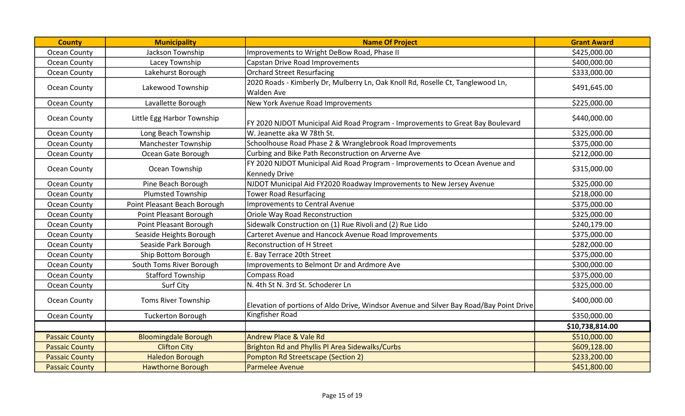| <b>County</b>         | <b>Municipality</b>          | <b>Name Of Project</b>                                                                        | <b>Grant Award</b> |
|-----------------------|------------------------------|-----------------------------------------------------------------------------------------------|--------------------|
| Ocean County          | Jackson Township             | Improvements to Wright DeBow Road, Phase II                                                   | \$425,000.00       |
| Ocean County          | Lacey Township               | Capstan Drive Road Improvements                                                               | \$400,000.00       |
| Ocean County          | Lakehurst Borough            | <b>Orchard Street Resurfacing</b>                                                             | \$333,000.00       |
| Ocean County          | Lakewood Township            | 2020 Roads - Kimberly Dr, Mulberry Ln, Oak Knoll Rd, Roselle Ct, Tanglewood Ln,<br>Walden Ave | \$491,645.00       |
| Ocean County          | Lavallette Borough           | New York Avenue Road Improvements                                                             | \$225,000.00       |
| Ocean County          | Little Egg Harbor Township   | FY 2020 NJDOT Municipal Aid Road Program - Improvements to Great Bay Boulevard                | \$440,000.00       |
| Ocean County          | Long Beach Township          | W. Jeanette aka W 78th St.                                                                    | \$325,000.00       |
| Ocean County          | Manchester Township          | Schoolhouse Road Phase 2 & Wranglebrook Road Improvements                                     | \$375,000.00       |
| Ocean County          | Ocean Gate Borough           | Curbing and Bike Path Reconstruction on Arverne Ave                                           | \$212,000.00       |
| Ocean County          | Ocean Township               | FY 2020 NJDOT Municipal Aid Road Program - Improvements to Ocean Avenue and<br>Kennedy Drive  | \$315,000.00       |
| Ocean County          | Pine Beach Borough           | NJDOT Municipal Aid FY2020 Roadway Improvements to New Jersey Avenue                          | \$325,000.00       |
| Ocean County          | <b>Plumsted Township</b>     | <b>Tower Road Resurfacing</b>                                                                 | \$218,000.00       |
| Ocean County          | Point Pleasant Beach Borough | Improvements to Central Avenue                                                                | \$375,000.00       |
| Ocean County          | Point Pleasant Borough       | Oriole Way Road Reconstruction                                                                | \$325,000.00       |
| Ocean County          | Point Pleasant Borough       | Sidewalk Construction on (1) Rue Rivoli and (2) Rue Lido                                      | \$240,179.00       |
| Ocean County          | Seaside Heights Borough      | Carteret Avenue and Hancock Avenue Road Improvements                                          | \$375,000.00       |
| Ocean County          | Seaside Park Borough         | <b>Reconstruction of H Street</b>                                                             | \$282,000.00       |
| Ocean County          | Ship Bottom Borough          | E. Bay Terrace 20th Street                                                                    | \$375,000.00       |
| Ocean County          | South Toms River Borough     | Improvements to Belmont Dr and Ardmore Ave                                                    | \$300,000.00       |
| Ocean County          | <b>Stafford Township</b>     | <b>Compass Road</b>                                                                           | \$375,000.00       |
| Ocean County          | Surf City                    | N. 4th St N. 3rd St. Schoderer Ln                                                             | \$325,000.00       |
| Ocean County          | <b>Toms River Township</b>   | Elevation of portions of Aldo Drive, Windsor Avenue and Silver Bay Road/Bay Point Drive       | \$400,000.00       |
| Ocean County          | <b>Tuckerton Borough</b>     | Kingfisher Road                                                                               | \$350,000.00       |
|                       |                              |                                                                                               | \$10,738,814.00    |
| <b>Passaic County</b> | <b>Bloomingdale Borough</b>  | <b>Andrew Place &amp; Vale Rd</b>                                                             | \$510,000.00       |
| <b>Passaic County</b> | <b>Clifton City</b>          | Brighton Rd and Phyllis PI Area Sidewalks/Curbs                                               | \$609,128.00       |
| <b>Passaic County</b> | <b>Haledon Borough</b>       | Pompton Rd Streetscape (Section 2)                                                            | \$233,200.00       |
| <b>Passaic County</b> | <b>Hawthorne Borough</b>     | <b>Parmelee Avenue</b>                                                                        | \$451,800.00       |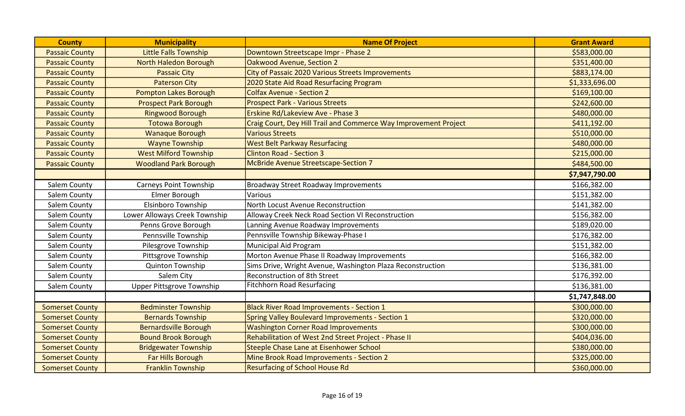| <b>County</b>          | <b>Municipality</b>              | <b>Name Of Project</b>                                           | <b>Grant Award</b> |
|------------------------|----------------------------------|------------------------------------------------------------------|--------------------|
| <b>Passaic County</b>  | <b>Little Falls Township</b>     | Downtown Streetscape Impr - Phase 2                              | \$583,000.00       |
| <b>Passaic County</b>  | North Haledon Borough            | Oakwood Avenue, Section 2                                        | \$351,400.00       |
| <b>Passaic County</b>  | <b>Passaic City</b>              | City of Passaic 2020 Various Streets Improvements                | \$883,174.00       |
| <b>Passaic County</b>  | <b>Paterson City</b>             | 2020 State Aid Road Resurfacing Program                          | \$1,333,696.00     |
| <b>Passaic County</b>  | <b>Pompton Lakes Borough</b>     | <b>Colfax Avenue - Section 2</b>                                 | \$169,100.00       |
| <b>Passaic County</b>  | <b>Prospect Park Borough</b>     | <b>Prospect Park - Various Streets</b>                           | \$242,600.00       |
| <b>Passaic County</b>  | <b>Ringwood Borough</b>          | <b>Erskine Rd/Lakeview Ave - Phase 3</b>                         | \$480,000.00       |
| <b>Passaic County</b>  | <b>Totowa Borough</b>            | Craig Court, Dey Hill Trail and Commerce Way Improvement Project | \$411,192.00       |
| <b>Passaic County</b>  | <b>Wanaque Borough</b>           | <b>Various Streets</b>                                           | \$510,000.00       |
| <b>Passaic County</b>  | <b>Wayne Township</b>            | <b>West Belt Parkway Resurfacing</b>                             | \$480,000.00       |
| <b>Passaic County</b>  | <b>West Milford Township</b>     | <b>Clinton Road - Section 3</b>                                  | \$215,000.00       |
| <b>Passaic County</b>  | <b>Woodland Park Borough</b>     | McBride Avenue Streetscape-Section 7                             | \$484,500.00       |
|                        |                                  |                                                                  | \$7,947,790.00     |
| <b>Salem County</b>    | <b>Carneys Point Township</b>    | <b>Broadway Street Roadway Improvements</b>                      | \$166,382.00       |
| Salem County           | Elmer Borough                    | Various                                                          | \$151,382.00       |
| <b>Salem County</b>    | <b>Elsinboro Township</b>        | North Locust Avenue Reconstruction                               | \$141,382.00       |
| <b>Salem County</b>    | Lower Alloways Creek Township    | Alloway Creek Neck Road Section VI Reconstruction                | \$156,382.00       |
| <b>Salem County</b>    | Penns Grove Borough              | Lanning Avenue Roadway Improvements                              | \$189,020.00       |
| Salem County           | Pennsville Township              | Pennsville Township Bikeway-Phase I                              | \$176,382.00       |
| Salem County           | Pilesgrove Township              | Municipal Aid Program                                            | \$151,382.00       |
| Salem County           | Pittsgrove Township              | Morton Avenue Phase II Roadway Improvements                      | \$166,382.00       |
| <b>Salem County</b>    | <b>Quinton Township</b>          | Sims Drive, Wright Avenue, Washington Plaza Reconstruction       | \$136,381.00       |
| Salem County           | Salem City                       | <b>Reconstruction of 8th Street</b>                              | \$176,392.00       |
| <b>Salem County</b>    | <b>Upper Pittsgrove Township</b> | <b>Fitchhorn Road Resurfacing</b>                                | \$136,381.00       |
|                        |                                  |                                                                  | \$1,747,848.00     |
| <b>Somerset County</b> | <b>Bedminster Township</b>       | <b>Black River Road Improvements - Section 1</b>                 | \$300,000.00       |
| <b>Somerset County</b> | <b>Bernards Township</b>         | Spring Valley Boulevard Improvements - Section 1                 | \$320,000.00       |
| <b>Somerset County</b> | <b>Bernardsville Borough</b>     | <b>Washington Corner Road Improvements</b>                       | \$300,000.00       |
| <b>Somerset County</b> | <b>Bound Brook Borough</b>       | <b>Rehabilitation of West 2nd Street Project - Phase II</b>      | \$404,036.00       |
| <b>Somerset County</b> | <b>Bridgewater Township</b>      | Steeple Chase Lane at Eisenhower School                          | \$380,000.00       |
| <b>Somerset County</b> | Far Hills Borough                | Mine Brook Road Improvements - Section 2                         | \$325,000.00       |
| <b>Somerset County</b> | <b>Franklin Township</b>         | <b>Resurfacing of School House Rd</b>                            | \$360,000.00       |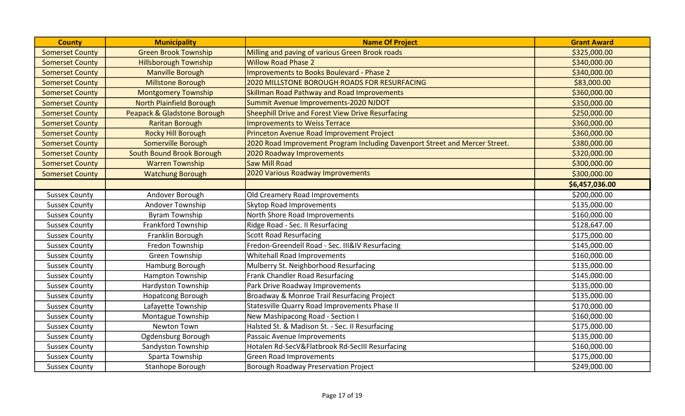| <b>County</b>          | <b>Municipality</b>              | <b>Name Of Project</b>                                                      | <b>Grant Award</b> |
|------------------------|----------------------------------|-----------------------------------------------------------------------------|--------------------|
| <b>Somerset County</b> | <b>Green Brook Township</b>      | Milling and paving of various Green Brook roads                             | \$325,000.00       |
| <b>Somerset County</b> | <b>Hillsborough Township</b>     | <b>Willow Road Phase 2</b>                                                  | \$340,000.00       |
| <b>Somerset County</b> | <b>Manville Borough</b>          | <b>Improvements to Books Boulevard - Phase 2</b>                            | \$340,000.00       |
| <b>Somerset County</b> | <b>Millstone Borough</b>         | <b>2020 MILLSTONE BOROUGH ROADS FOR RESURFACING</b>                         | \$83,000.00        |
| <b>Somerset County</b> | <b>Montgomery Township</b>       | <b>Skillman Road Pathway and Road Improvements</b>                          | \$360,000.00       |
| <b>Somerset County</b> | <b>North Plainfield Borough</b>  | Summit Avenue Improvements-2020 NJDOT                                       | \$350,000.00       |
| <b>Somerset County</b> | Peapack & Gladstone Borough      | <b>Sheephill Drive and Forest View Drive Resurfacing</b>                    | \$250,000.00       |
| <b>Somerset County</b> | <b>Raritan Borough</b>           | <b>Improvements to Weiss Terrace</b>                                        | \$360,000.00       |
| <b>Somerset County</b> | <b>Rocky Hill Borough</b>        | Princeton Avenue Road Improvement Project                                   | \$360,000.00       |
| <b>Somerset County</b> | <b>Somerville Borough</b>        | 2020 Road Improvement Program Including Davenport Street and Mercer Street. | \$380,000.00       |
| <b>Somerset County</b> | <b>South Bound Brook Borough</b> | 2020 Roadway Improvements                                                   | \$320,000.00       |
| <b>Somerset County</b> | <b>Warren Township</b>           | <b>Saw Mill Road</b>                                                        | \$300,000.00       |
| <b>Somerset County</b> | <b>Watchung Borough</b>          | 2020 Various Roadway Improvements                                           | \$300,000.00       |
|                        |                                  |                                                                             | \$6,457,036.00     |
| <b>Sussex County</b>   | Andover Borough                  | Old Creamery Road Improvements                                              | \$200,000.00       |
| <b>Sussex County</b>   | Andover Township                 | <b>Skytop Road Improvements</b>                                             | \$135,000.00       |
| <b>Sussex County</b>   | <b>Byram Township</b>            | North Shore Road Improvements                                               | \$160,000.00       |
| <b>Sussex County</b>   | <b>Frankford Township</b>        | Ridge Road - Sec. II Resurfacing                                            | \$128,647.00       |
| <b>Sussex County</b>   | Franklin Borough                 | <b>Scott Road Resurfacing</b>                                               | \$175,000.00       |
| <b>Sussex County</b>   | Fredon Township                  | Fredon-Greendell Road - Sec. III&IV Resurfacing                             | \$145,000.00       |
| <b>Sussex County</b>   | Green Township                   | Whitehall Road Improvements                                                 | \$160,000.00       |
| <b>Sussex County</b>   | Hamburg Borough                  | Mulberry St. Neighborhood Resurfacing                                       | \$135,000.00       |
| <b>Sussex County</b>   | Hampton Township                 | <b>Frank Chandler Road Resurfacing</b>                                      | \$145,000.00       |
| <b>Sussex County</b>   | <b>Hardyston Township</b>        | Park Drive Roadway Improvements                                             | \$135,000.00       |
| <b>Sussex County</b>   | <b>Hopatcong Borough</b>         | Broadway & Monroe Trail Resurfacing Project                                 | \$135,000.00       |
| <b>Sussex County</b>   | Lafayette Township               | Statesville Quarry Road Improvements Phase II                               | \$170,000.00       |
| <b>Sussex County</b>   | Montague Township                | New Mashipacong Road - Section I                                            | \$160,000.00       |
| <b>Sussex County</b>   | Newton Town                      | Halsted St. & Madison St. - Sec. II Resurfacing                             | \$175,000.00       |
| <b>Sussex County</b>   | Ogdensburg Borough               | Passaic Avenue Improvements                                                 | \$135,000.00       |
| <b>Sussex County</b>   | Sandyston Township               | Hotalen Rd-SecV&Flatbrook Rd-SecIII Resurfacing                             | \$160,000.00       |
| <b>Sussex County</b>   | Sparta Township                  | <b>Green Road Improvements</b>                                              | \$175,000.00       |
| <b>Sussex County</b>   | Stanhope Borough                 | Borough Roadway Preservation Project                                        | \$249,000.00       |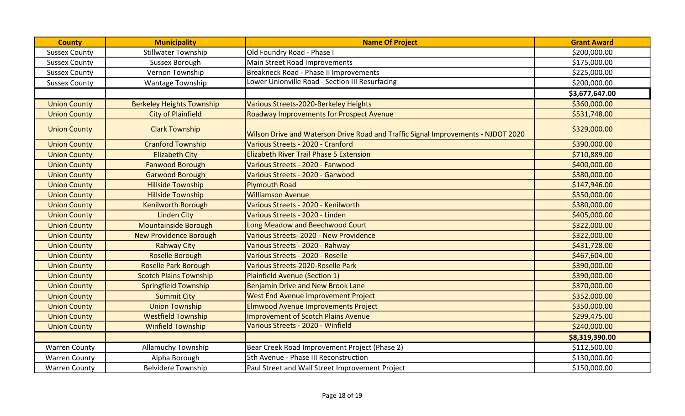| <b>County</b>        | <b>Municipality</b>              | <b>Name Of Project</b>                                                            | <b>Grant Award</b> |
|----------------------|----------------------------------|-----------------------------------------------------------------------------------|--------------------|
| <b>Sussex County</b> | <b>Stillwater Township</b>       | Old Foundry Road - Phase I                                                        | \$200,000.00       |
| <b>Sussex County</b> | Sussex Borough                   | Main Street Road Improvements                                                     | \$175,000.00       |
| <b>Sussex County</b> | Vernon Township                  | Breakneck Road - Phase II Improvements                                            | \$225,000.00       |
| <b>Sussex County</b> | Wantage Township                 | Lower Unionville Road - Section III Resurfacing                                   | \$200,000.00       |
|                      |                                  |                                                                                   | \$3,677,647.00     |
| <b>Union County</b>  | <b>Berkeley Heights Township</b> | Various Streets-2020-Berkeley Heights                                             | \$360,000.00       |
| <b>Union County</b>  | <b>City of Plainfield</b>        | <b>Roadway Improvements for Prospect Avenue</b>                                   | \$531,748.00       |
| <b>Union County</b>  | <b>Clark Township</b>            | Wilson Drive and Waterson Drive Road and Traffic Signal Improvements - NJDOT 2020 | \$329,000.00       |
| <b>Union County</b>  | <b>Cranford Township</b>         | Various Streets - 2020 - Cranford                                                 | \$390,000.00       |
| <b>Union County</b>  | <b>Elizabeth City</b>            | <b>Elizabeth River Trail Phase 5 Extension</b>                                    | \$710,889.00       |
| <b>Union County</b>  | <b>Fanwood Borough</b>           | Various Streets - 2020 - Fanwood                                                  | \$400,000.00       |
| <b>Union County</b>  | <b>Garwood Borough</b>           | Various Streets - 2020 - Garwood                                                  | \$380,000.00       |
| <b>Union County</b>  | <b>Hillside Township</b>         | <b>Plymouth Road</b>                                                              | \$147,946.00       |
| <b>Union County</b>  | <b>Hillside Township</b>         | Williamson Avenue                                                                 | \$350,000.00       |
| <b>Union County</b>  | <b>Kenilworth Borough</b>        | Various Streets - 2020 - Kenilworth                                               | \$380,000.00       |
| <b>Union County</b>  | <b>Linden City</b>               | Various Streets - 2020 - Linden                                                   | \$405,000.00       |
| <b>Union County</b>  | <b>Mountainside Borough</b>      | Long Meadow and Beechwood Court                                                   | \$322,000.00       |
| <b>Union County</b>  | <b>New Providence Borough</b>    | Various Streets- 2020 - New Providence                                            | \$322,000.00       |
| <b>Union County</b>  | <b>Rahway City</b>               | Various Streets - 2020 - Rahway                                                   | \$431,728.00       |
| <b>Union County</b>  | <b>Roselle Borough</b>           | Various Streets - 2020 - Roselle                                                  | \$467,604.00       |
| <b>Union County</b>  | <b>Roselle Park Borough</b>      | Various Streets-2020-Roselle Park                                                 | \$390,000.00       |
| <b>Union County</b>  | <b>Scotch Plains Township</b>    | Plainfield Avenue (Section 1)                                                     | \$390,000.00       |
| <b>Union County</b>  | <b>Springfield Township</b>      | Benjamin Drive and New Brook Lane                                                 | \$370,000.00       |
| <b>Union County</b>  | <b>Summit City</b>               | <b>West End Avenue Improvement Project</b>                                        | \$352,000.00       |
| <b>Union County</b>  | <b>Union Township</b>            | Elmwood Avenue Improvements Project                                               | \$350,000.00       |
| <b>Union County</b>  | <b>Westfield Township</b>        | Improvement of Scotch Plains Avenue                                               | \$299,475.00       |
| <b>Union County</b>  | <b>Winfield Township</b>         | Various Streets - 2020 - Winfield                                                 | \$240,000.00       |
|                      |                                  |                                                                                   | \$8,319,390.00     |
| <b>Warren County</b> | <b>Allamuchy Township</b>        | Bear Creek Road Improvement Project (Phase 2)                                     | \$112,500.00       |
| <b>Warren County</b> | Alpha Borough                    | 5th Avenue - Phase III Reconstruction                                             | \$130,000.00       |
| <b>Warren County</b> | <b>Belvidere Township</b>        | Paul Street and Wall Street Improvement Project                                   | \$150,000.00       |